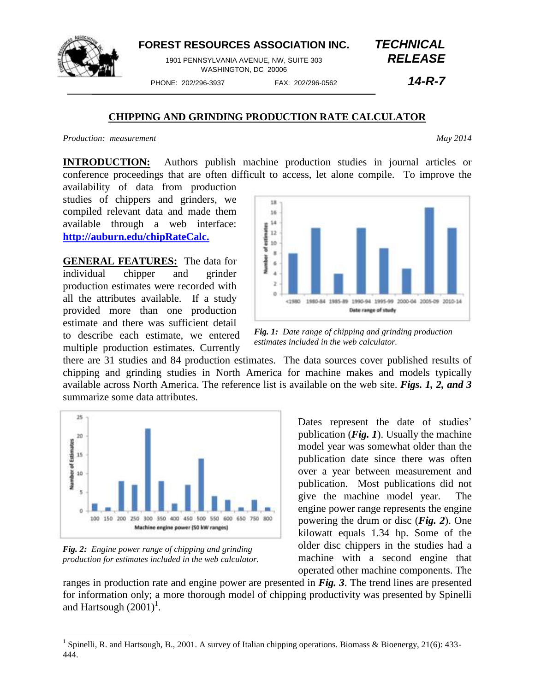

## **FOREST RESOURCES ASSOCIATION INC.** *TECHNICAL*

1901 PENNSYLVANIA AVENUE, NW, SUITE 303 *RELEASE* WASHINGTON, DC 20006

PHONE: 202/296-3937 FAX: 202/296-0562 *14-R-7*

## **CHIPPING AND GRINDING PRODUCTION RATE CALCULATOR**

*Production: measurement May 2014*

**INTRODUCTION:** Authors publish machine production studies in journal articles or conference proceedings that are often difficult to access, let alone compile. To improve the

availability of data from production studies of chippers and grinders, we compiled relevant data and made them available through a web interface: **[http://auburn.edu/chipRateCalc.](http://auburn.edu/chipRateCalc)**

**GENERAL FEATURES:** The data for individual chipper and grinder production estimates were recorded with all the attributes available. If a study provided more than one production estimate and there was sufficient detail to describe each estimate, we entered multiple production estimates. Currently



*Fig. 1: Date range of chipping and grinding production estimates included in the web calculator.*

there are 31 studies and 84 production estimates. The data sources cover published results of chipping and grinding studies in North America for machine makes and models typically available across North America. The reference list is available on the web site. *Figs. 1, 2, and 3* summarize some data attributes.



*Fig. 2: Engine power range of chipping and grinding production for estimates included in the web calculator.*

 $\overline{a}$ 

Dates represent the date of studies' publication (*Fig. 1*). Usually the machine model year was somewhat older than the publication date since there was often over a year between measurement and publication. Most publications did not give the machine model year. The engine power range represents the engine powering the drum or disc (*Fig. 2*). One kilowatt equals 1.34 hp. Some of the older disc chippers in the studies had a machine with a second engine that operated other machine components. The

ranges in production rate and engine power are presented in *Fig. 3*. The trend lines are presented for information only; a more thorough model of chipping productivity was presented by Spinelli and Hartsough  $(2001)^1$ .

<sup>&</sup>lt;sup>1</sup> Spinelli, R. and Hartsough, B., 2001. A survey of Italian chipping operations. Biomass & Bioenergy, 21(6): 433-444.